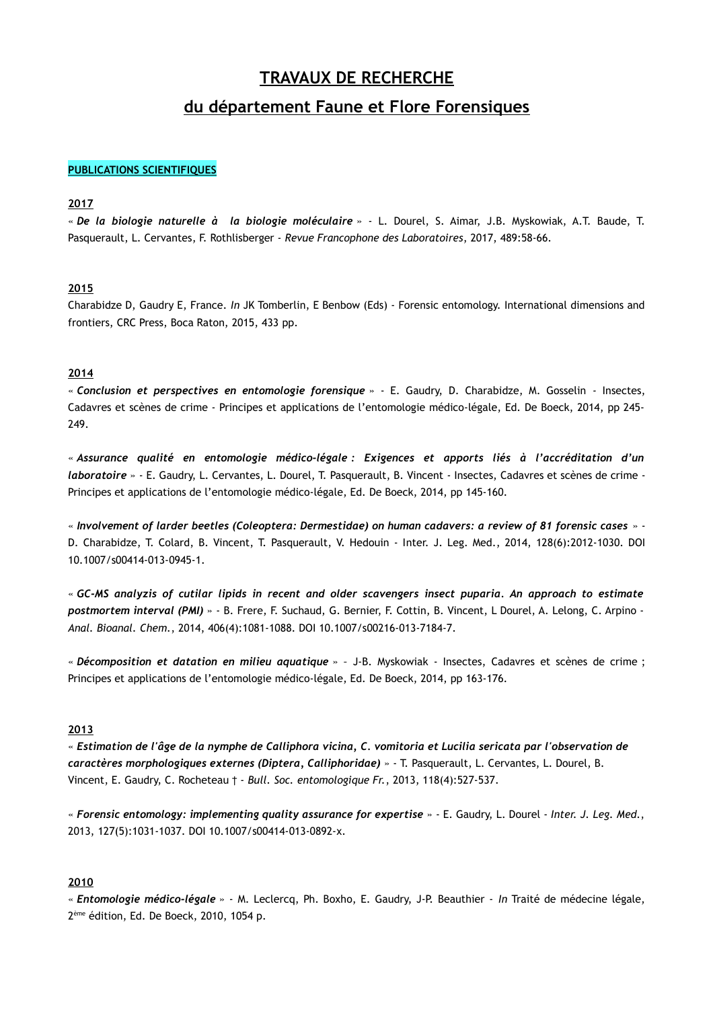# **TRAVAUX DE RECHERCHE**

# **du département Faune et Flore Forensiques**

## **PUBLICATIONS SCIENTIFIQUES**

# **2017**

« *De la biologie naturelle à la biologie moléculaire* » - L. Dourel, S. Aimar, J.B. Myskowiak, A.T. Baude, T. Pasquerault, L. Cervantes, F. Rothlisberger - *Revue Francophone des Laboratoires*, 2017, 489:58-66.

#### **2015**

Charabidze D, Gaudry E, France. *In* JK Tomberlin, E Benbow (Eds) - Forensic entomology. International dimensions and frontiers, CRC Press, Boca Raton, 2015, 433 pp.

#### **2014**

« *Conclusion et perspectives en entomologie forensique* » - E. Gaudry, D. Charabidze, M. Gosselin *-* Insectes, Cadavres et scènes de crime - Principes et applications de l'entomologie médico-légale, Ed. De Boeck, 2014, pp 245- 249.

« *Assurance qualité en entomologie médico-légale : Exigences et apports liés à l'accréditation d'un laboratoire* » - E. Gaudry, L. Cervantes, L. Dourel, T. Pasquerault, B. Vincent *-* Insectes, Cadavres et scènes de crime - Principes et applications de l'entomologie médico-légale, Ed. De Boeck, 2014, pp 145-160.

« *Involvement of larder beetles (Coleoptera: Dermestidae) on human cadavers: a review of 81 forensic cases* » - D. Charabidze, T. Colard, B. Vincent, T. Pasquerault, V. Hedouin - Inter. J. Leg. Med., 2014, 128(6):2012-1030. DOI 10.1007/s00414-013-0945-1.

« *GC-MS analyzis of cutilar lipids in recent and older scavengers insect puparia. An approach to estimate postmortem interval (PMI)* » - B. Frere, F. Suchaud, G. Bernier, F. Cottin, B. Vincent, L Dourel, A. Lelong, C. Arpino - *Anal. Bioanal. Chem.*, 2014, 406(4):1081-1088. DOI 10.1007/s00216-013-7184-7.

« *Décomposition et datation en milieu aquatique* » *–* J-B. Myskowiak - Insectes, Cadavres et scènes de crime ; Principes et applications de l'entomologie médico-légale, Ed. De Boeck, 2014, pp 163-176.

## **2013**

« *Estimation de l'âge de la nymphe de Calliphora vicina, C. vomitoria et Lucilia sericata par l'observation de caractères morphologiques externes (Diptera, Calliphoridae)* » - T. Pasquerault, L. Cervantes, L. Dourel, B. Vincent, E. Gaudry, C. Rocheteau † - *Bull. Soc. entomologique Fr.*, 2013, 118(4):527-537.

« *Forensic entomology: implementing quality assurance for expertise* » - E. Gaudry, L. Dourel - *Inter. J. Leg. Med.*, 2013, 127(5):1031-1037. DOI 10.1007/s00414-013-0892-x.

# **2010**

« *Entomologie médico-légale* » - M. Leclercq, Ph. Boxho, E. Gaudry, J-P. Beauthier - *In* Traité de médecine légale, 2 ème édition, Ed. De Boeck, 2010, 1054 p.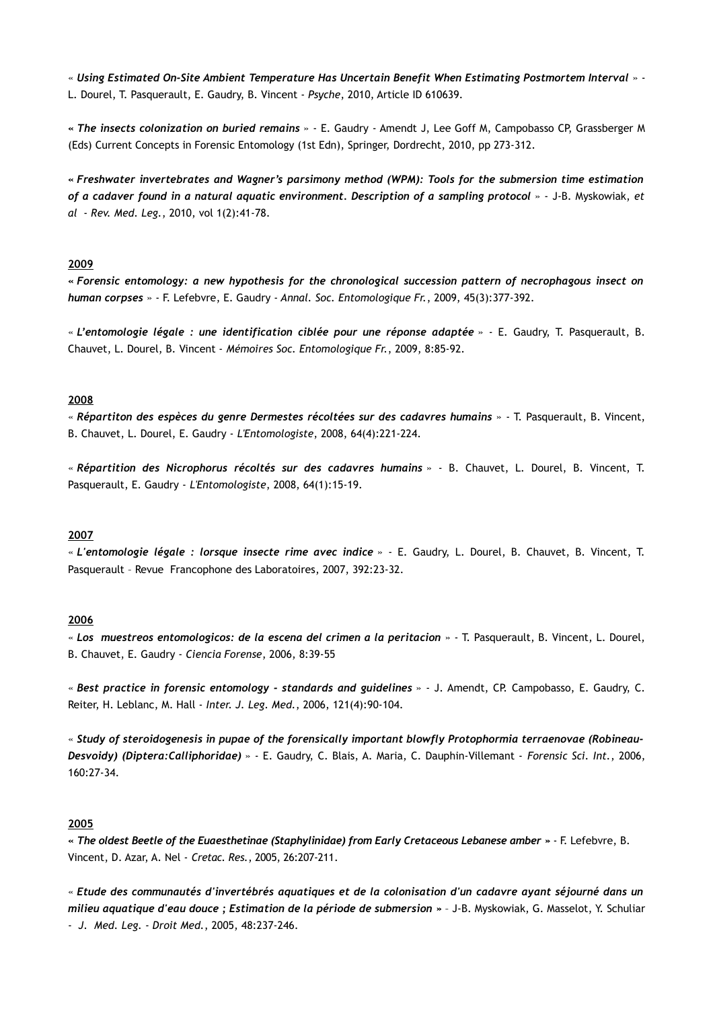« *Using Estimated On-Site Ambient Temperature Has Uncertain Benefit When Estimating Postmortem Interval* » - L. Dourel, T. Pasquerault, E. Gaudry, B. Vincent - *Psyche*, 2010, Article ID 610639.

*« The insects colonization on buried remains* » - E. Gaudry - Amendt J, Lee Goff M, Campobasso CP, Grassberger M (Eds) Current Concepts in Forensic Entomology (1st Edn), Springer, Dordrecht, 2010, pp 273-312.

*« Freshwater invertebrates and Wagner's parsimony method (WPM): Tools for the submersion time estimation of a cadaver found in a natural aquatic environment. Description of a sampling protocol* » - J-B. Myskowiak, *et al* - *Rev. Med. Leg.*, 2010, vol 1(2):41-78.

# **2009**

*« Forensic entomology: a new hypothesis for the chronological succession pattern of necrophagous insect on human corpses* » - F. Lefebvre, E. Gaudry - *Annal. Soc. Entomologique Fr.*, 2009, 45(3):377-392.

« *L'entomologie légale : une identification ciblée pour une réponse adaptée* » - E. Gaudry, T. Pasquerault, B. Chauvet, L. Dourel, B. Vincent - *Mémoires Soc. Entomologique Fr.*, 2009, 8:85-92.

### **2008**

« *Répartiton des espèces du genre Dermestes récoltées sur des cadavres humains* » - T. Pasquerault, B. Vincent, B. Chauvet, L. Dourel, E. Gaudry - *L'Entomologiste*, 2008, 64(4):221-224.

« *Répartition des Nicrophorus récoltés sur des cadavres humains* » - B. Chauvet, L. Dourel, B. Vincent, T. Pasquerault, E. Gaudry - *L'Entomologiste*, 2008, 64(1):15-19.

#### **2007**

« *L'entomologie légale : lorsque insecte rime avec indice* » - E. Gaudry, L. Dourel, B. Chauvet, B. Vincent, T. Pasquerault – Revue Francophone des Laboratoires, 2007, 392:23-32.

#### **2006**

« *Los muestreos entomologicos: de la escena del crimen a la peritacion* » - T. Pasquerault, B. Vincent, L. Dourel, B. Chauvet, E. Gaudry - *Ciencia Forense*, 2006, 8:39-55

« *Best practice in forensic entomology - standards and guidelines* » - J. Amendt, CP. Campobasso, E. Gaudry, C. Reiter, H. Leblanc, M. Hall - *Inter. J. Leg. Med.*, 2006, 121(4):90-104.

« *Study of steroidogenesis in pupae of the forensically important blowfly Protophormia terraenovae (Robineau-Desvoidy) (Diptera:Calliphoridae)* » - E. Gaudry, C. Blais, A. Maria, C. Dauphin-Villemant - *Forensic Sci. Int.*, 2006, 160:27-34.

#### **2005**

*« The oldest Beetle of the Euaesthetinae (Staphylinidae) from Early Cretaceous Lebanese amber »* - F. Lefebvre, B. Vincent, D. Azar, A. Nel - *Cretac. Res.*, 2005, 26:207-211.

« *Etude des communautés d'invertébrés aquatiques et de la colonisation d'un cadavre ayant séjourné dans un milieu aquatique d'eau douce ; Estimation de la période de submersion »* – J-B. Myskowiak, G. Masselot, Y. Schuliar - *J. Med. Leg. - Droit Med.*, 2005, 48:237-246.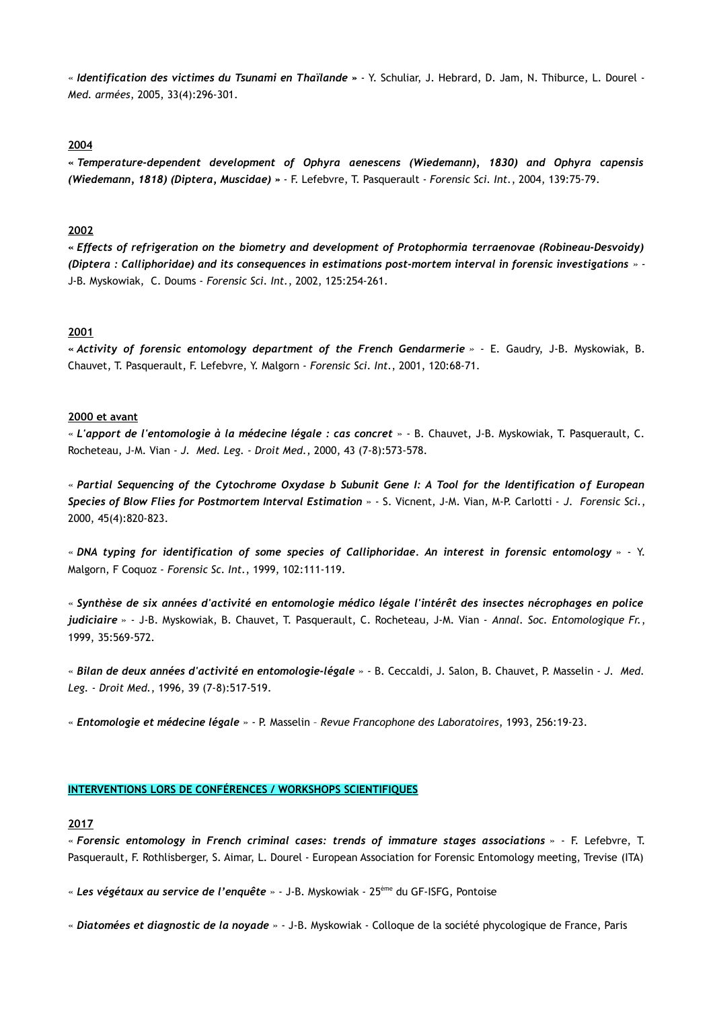« *Identification des victimes du Tsunami en Thaïlande »* - Y. Schuliar, J. Hebrard, D. Jam, N. Thiburce, L. Dourel - *Med. armées*, 2005, 33(4):296-301.

#### **2004**

*« Temperature-dependent development of Ophyra aenescens (Wiedemann), 1830) and Ophyra capensis (Wiedemann, 1818) (Diptera, Muscidae) »* - F. Lefebvre, T. Pasquerault - *Forensic Sci. Int.*, 2004, 139:75-79.

# **2002**

*« Effects of refrigeration on the biometry and development of Protophormia terraenovae (Robineau-Desvoidy) (Diptera : Calliphoridae) and its consequences in estimations post-mortem interval in forensic investigations »* - J-B. Myskowiak, C. Doums - *Forensic Sci. Int.*, 2002, 125:254-261.

#### **2001**

*« Activity of forensic entomology department of the French Gendarmerie »* - E. Gaudry, J-B. Myskowiak, B. Chauvet, T. Pasquerault, F. Lefebvre, Y. Malgorn - *Forensic Sci. Int.*, 2001, 120:68-71.

#### **2000 et avant**

« *L'apport de l'entomologie à la médecine légale : cas concret* » - B. Chauvet, J-B. Myskowiak, T. Pasquerault, C. Rocheteau, J-M. Vian - *J. Med. Leg. - Droit Med.*, 2000, 43 (7-8):573-578.

« *Partial Sequencing of the Cytochrome Oxydase b Subunit Gene I: A Tool for the Identification of European Species of Blow Flies for Postmortem Interval Estimation* » - S. Vicnent, J-M. Vian, M-P. Carlotti - *J. Forensic Sci.*, 2000, 45(4):820-823.

« *DNA typing for identification of some species of Calliphoridae. An interest in forensic entomology* » - Y. Malgorn, F Coquoz - *Forensic Sc. Int.*, 1999, 102:111-119.

« *Synthèse de six années d'activité en entomologie médico légale l'intérêt des insectes nécrophages en police judiciaire* » - J-B. Myskowiak, B. Chauvet, T. Pasquerault, C. Rocheteau, J-M. Vian - *Annal. Soc. Entomologique Fr.*, 1999, 35:569-572.

« *Bilan de deux années d'activité en entomologie-légale* » - B. Ceccaldi, J. Salon, B. Chauvet, P. Masselin - *J. Med. Leg. - Droit Med.*, 1996, 39 (7-8):517-519.

« *Entomologie et médecine légale* » - P. Masselin – *Revue Francophone des Laboratoires*, 1993, 256:19-23.

#### **INTERVENTIONS LORS DE CONFÉRENCES / WORKSHOPS SCIENTIFIQUES**

#### **2017**

« *Forensic entomology in French criminal cases: trends of immature stages associations* » - F. Lefebvre, T. Pasquerault, F. Rothlisberger, S. Aimar, L. Dourel - European Association for Forensic Entomology meeting, Trevise (ITA)

« *Les végétaux au service de l'enquête* » - J-B. Myskowiak - 25ème du GF-ISFG, Pontoise

« *Diatomées et diagnostic de la noyade* » - J-B. Myskowiak - Colloque de la société phycologique de France, Paris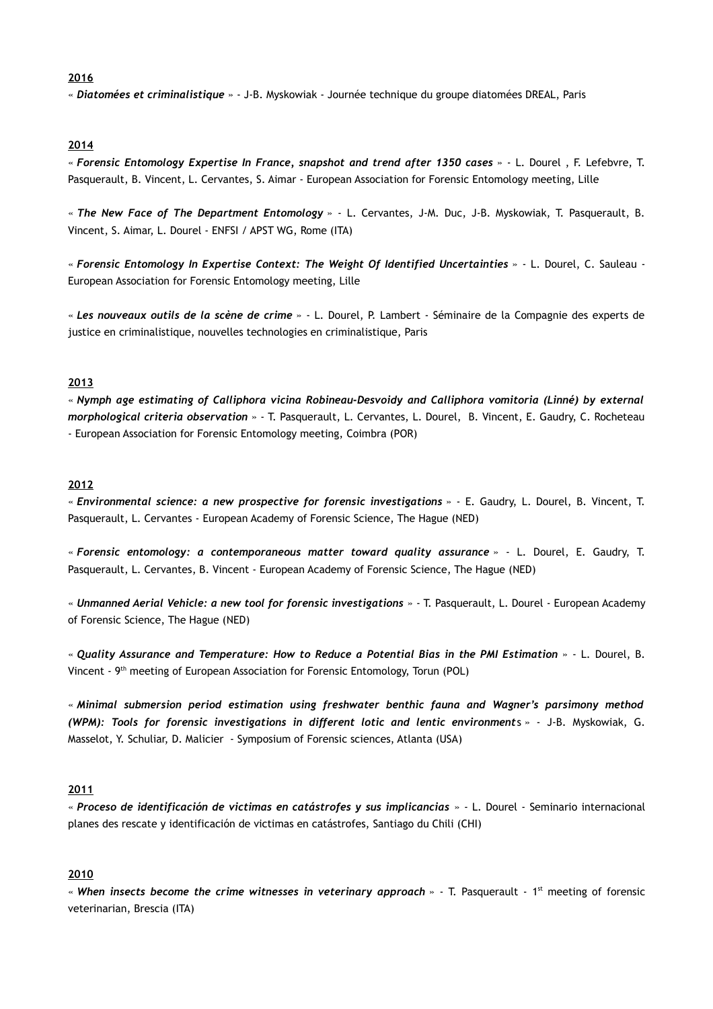# **2016**

« *Diatomées et criminalistique* » - J-B. Myskowiak - Journée technique du groupe diatomées DREAL, Paris

# **2014**

« *Forensic Entomology Expertise In France, snapshot and trend after 1350 cases* » - L. Dourel , F. Lefebvre, T. Pasquerault, B. Vincent, L. Cervantes, S. Aimar - European Association for Forensic Entomology meeting, Lille

« *The New Face of The Department Entomology* » - L. Cervantes, J-M. Duc, J-B. Myskowiak, T. Pasquerault, B. Vincent, S. Aimar, L. Dourel - ENFSI / APST WG, Rome (ITA)

« *Forensic Entomology In Expertise Context: The Weight Of Identified Uncertainties* » - L. Dourel, C. Sauleau - European Association for Forensic Entomology meeting, Lille

« *Les nouveaux outils de la scène de crime* » - L. Dourel, P. Lambert - Séminaire de la Compagnie des experts de justice en criminalistique, nouvelles technologies en criminalistique, Paris

# **2013**

« *Nymph age estimating of Calliphora vicina Robineau-Desvoidy and Calliphora vomitoria (Linné) by external morphological criteria observation* » - T. Pasquerault, L. Cervantes, L. Dourel, B. Vincent, E. Gaudry, C. Rocheteau - European Association for Forensic Entomology meeting, Coimbra (POR)

#### **2012**

« *Environmental science: a new prospective for forensic investigations* » - E. Gaudry, L. Dourel, B. Vincent, T. Pasquerault, L. Cervantes - European Academy of Forensic Science, The Hague (NED)

« *Forensic entomology: a contemporaneous matter toward quality assurance* » - L. Dourel, E. Gaudry, T. Pasquerault, L. Cervantes, B. Vincent - European Academy of Forensic Science, The Hague (NED)

« *Unmanned Aerial Vehicle: a new tool for forensic investigations* » - T. Pasquerault, L. Dourel - European Academy of Forensic Science, The Hague (NED)

« *Quality Assurance and Temperature: How to Reduce a Potential Bias in the PMI Estimation* » - L. Dourel, B. Vincent - 9th meeting of European Association for Forensic Entomology, Torun (POL)

« *Minimal submersion period estimation using freshwater benthic fauna and Wagner's parsimony method (WPM): Tools for forensic investigations in different lotic and lentic environment*s » - J-B. Myskowiak, G. Masselot, Y. Schuliar, D. Malicier - Symposium of Forensic sciences, Atlanta (USA)

#### **2011**

« *Proceso de identificación de victimas en catástrofes y sus implicancias* » - L. Dourel - Seminario internacional planes des rescate y identificación de victimas en catástrofes, Santiago du Chili (CHI)

# **2010**

« When insects become the crime witnesses in veterinary approach » - T. Pasquerault - 1<sup>st</sup> meeting of forensic veterinarian, Brescia (ITA)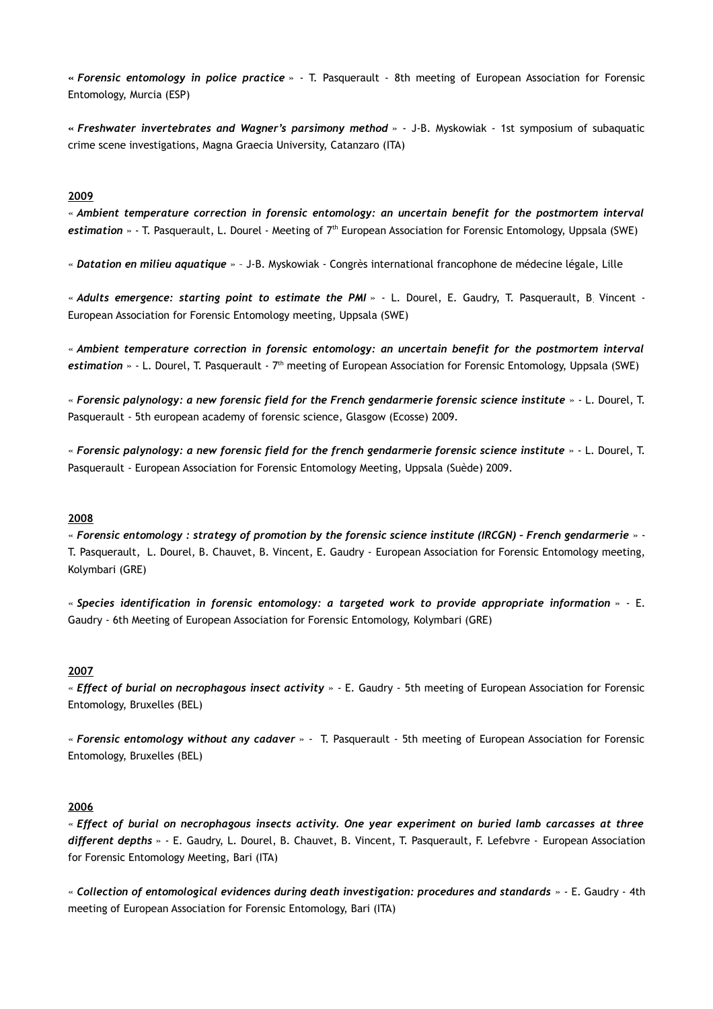**«** *Forensic entomology in police practice* » - T. Pasquerault - 8th meeting of European Association for Forensic Entomology, Murcia (ESP)

**«** *Freshwater invertebrates and Wagner's parsimony method* » - J-B. Myskowiak - 1st symposium of subaquatic crime scene investigations, Magna Graecia University, Catanzaro (ITA)

#### **2009**

« *Ambient temperature correction in forensic entomology: an uncertain benefit for the postmortem interval* estimation » - T. Pasquerault, L. Dourel - Meeting of 7<sup>th</sup> European Association for Forensic Entomology, Uppsala (SWE)

« *Datation en milieu aquatique* » – J-B. Myskowiak - Congrès international francophone de médecine légale, Lille

« *Adults emergence: starting point to estimate the PMI* » - L. Dourel, E. Gaudry, T. Pasquerault, B. Vincent - European Association for Forensic Entomology meeting, Uppsala (SWE)

« *Ambient temperature correction in forensic entomology: an uncertain benefit for the postmortem interval* estimation » - L. Dourel, T. Pasquerault - 7<sup>th</sup> meeting of European Association for Forensic Entomology, Uppsala (SWE)

« *Forensic palynology: a new forensic field for the French gendarmerie forensic science institute* » - L. Dourel, T. Pasquerault - 5th european academy of forensic science, Glasgow (Ecosse) 2009.

« *Forensic palynology: a new forensic field for the french gendarmerie forensic science institute* » - L. Dourel, T. Pasquerault - European Association for Forensic Entomology Meeting, Uppsala (Suède) 2009.

# **2008**

« *Forensic entomology : strategy of promotion by the forensic science institute (IRCGN) – French gendarmerie* » - T. Pasquerault, L. Dourel, B. Chauvet, B. Vincent, E. Gaudry - European Association for Forensic Entomology meeting, Kolymbari (GRE)

« *Species identification in forensic entomology: a targeted work to provide appropriate information* » - E. Gaudry - 6th Meeting of European Association for Forensic Entomology, Kolymbari (GRE)

#### **2007**

« *Effect of burial on necrophagous insect activity* » - E. Gaudry - 5th meeting of European Association for Forensic Entomology, Bruxelles (BEL)

« *Forensic entomology without any cadaver* » - T. Pasquerault - 5th meeting of European Association for Forensic Entomology, Bruxelles (BEL)

# **2006**

« *Effect of burial on necrophagous insects activity. One year experiment on buried lamb carcasses at three different depths* » - E. Gaudry, L. Dourel, B. Chauvet, B. Vincent, T. Pasquerault, F. Lefebvre - European Association for Forensic Entomology Meeting, Bari (ITA)

« *Collection of entomological evidences during death investigation: procedures and standards* » - E. Gaudry - 4th meeting of European Association for Forensic Entomology, Bari (ITA)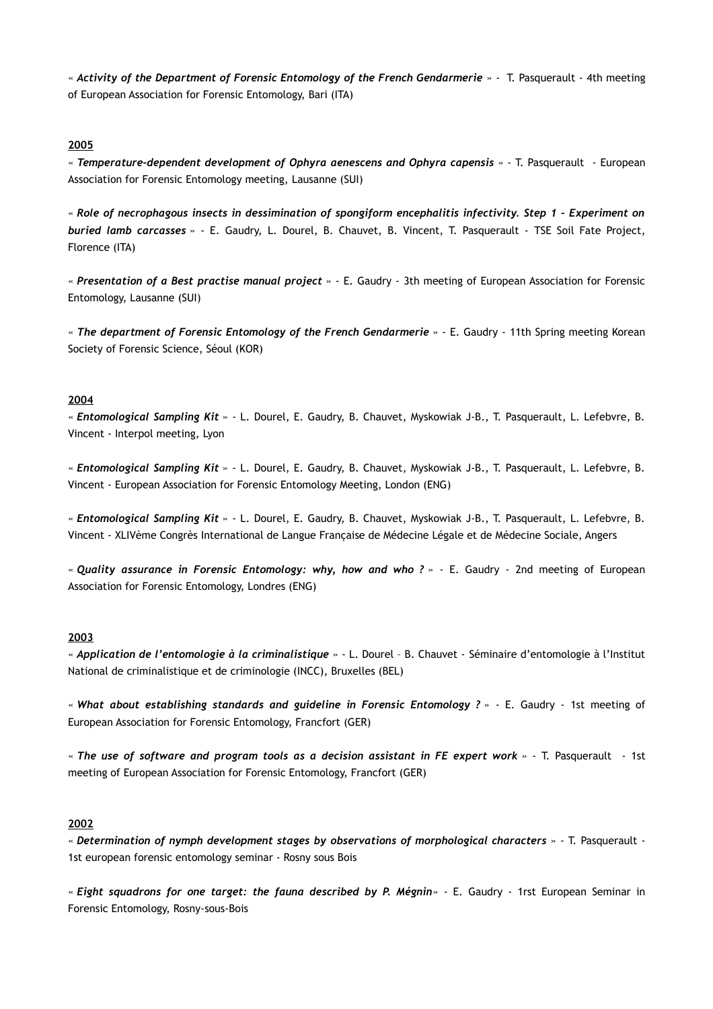« *Activity of the Department of Forensic Entomology of the French Gendarmerie* » - T. Pasquerault - 4th meeting of European Association for Forensic Entomology, Bari (ITA)

# **2005**

« *Temperature-dependent development of Ophyra aenescens and Ophyra capensis » -* T. Pasquerault *-* European Association for Forensic Entomology meeting, Lausanne (SUI)

« *Role of necrophagous insects in dessimination of spongiform encephalitis infectivity. Step 1 – Experiment on buried lamb carcasses* » - E. Gaudry, L. Dourel, B. Chauvet, B. Vincent, T. Pasquerault - TSE Soil Fate Project, Florence (ITA)

« *Presentation of a Best practise manual project* » - E. Gaudry - 3th meeting of European Association for Forensic Entomology, Lausanne (SUI)

« *The department of Forensic Entomology of the French Gendarmerie* » - E. Gaudry - 11th Spring meeting Korean Society of Forensic Science, Séoul (KOR)

#### **2004**

« *Entomological Sampling Kit* » - L. Dourel, E. Gaudry, B. Chauvet, Myskowiak J-B., T. Pasquerault, L. Lefebvre, B. Vincent - Interpol meeting, Lyon

« *Entomological Sampling Kit* » - L. Dourel, E. Gaudry, B. Chauvet, Myskowiak J-B., T. Pasquerault, L. Lefebvre, B. Vincent - European Association for Forensic Entomology Meeting, London (ENG)

« *Entomological Sampling Kit* » - L. Dourel, E. Gaudry, B. Chauvet, Myskowiak J-B., T. Pasquerault, L. Lefebvre, B. Vincent - XLIVème Congrès International de Langue Française de Médecine Légale et de Médecine Sociale, Angers

« *Quality assurance in Forensic Entomology: why, how and who ?* » - E. Gaudry - 2nd meeting of European Association for Forensic Entomology, Londres (ENG)

#### **2003**

« *Application de l'entomologie à la criminalistique* » - L. Dourel – B. Chauvet - Séminaire d'entomologie à l'Institut National de criminalistique et de criminologie (INCC), Bruxelles (BEL)

« *What about establishing standards and guideline in Forensic Entomology ?* » - E. Gaudry - 1st meeting of European Association for Forensic Entomology, Francfort (GER)

« *The use of software and program tools as a decision assistant in FE expert work » -* T. Pasquerault *-* 1st meeting of European Association for Forensic Entomology, Francfort (GER)

#### **2002**

« *Determination of nymph development stages by observations of morphological characters* » - T. Pasquerault - 1st european forensic entomology seminar - Rosny sous Bois

« *Eight squadrons for one target: the fauna described by P. Mégnin*» - E. Gaudry - 1rst European Seminar in Forensic Entomology, Rosny-sous-Bois